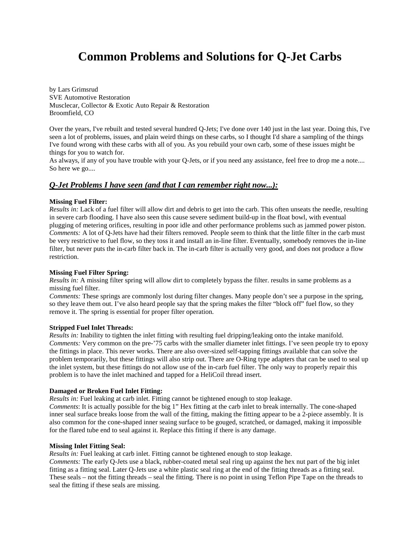# **Common Problems and Solutions for Q-Jet Carbs**

by Lars Grimsrud SVE Automotive Restoration Musclecar, Collector & Exotic Auto Repair & Restoration Broomfield, CO

Over the years, I've rebuilt and tested several hundred Q-Jets; I've done over 140 just in the last year. Doing this, I've seen a lot of problems, issues, and plain weird things on these carbs, so I thought I'd share a sampling of the things I've found wrong with these carbs with all of you. As you rebuild your own carb, some of these issues might be things for you to watch for.

As always, if any of you have trouble with your Q-Jets, or if you need any assistance, feel free to drop me a note.... So here we go....

# *Q-Jet Problems I have seen (and that I can remember right now...):*

# **Missing Fuel Filter:**

*Results in:* Lack of a fuel filter will allow dirt and debris to get into the carb. This often unseats the needle, resulting in severe carb flooding. I have also seen this cause severe sediment build-up in the float bowl, with eventual plugging of metering orifices, resulting in poor idle and other performance problems such as jammed power piston. *Comments:* A lot of Q-Jets have had their filters removed. People seem to think that the little filter in the carb must be very restrictive to fuel flow, so they toss it and install an in-line filter. Eventually, somebody removes the in-line filter, but never puts the in-carb filter back in. The in-carb filter is actually very good, and does not produce a flow restriction.

### **Missing Fuel Filter Spring:**

*Results in:* A missing filter spring will allow dirt to completely bypass the filter. results in same problems as a missing fuel filter.

*Comments:* These springs are commonly lost during filter changes. Many people don't see a purpose in the spring, so they leave them out. I've also heard people say that the spring makes the filter "block off" fuel flow, so they remove it. The spring is essential for proper filter operation.

# **Stripped Fuel Inlet Threads:**

*Results in:* Inability to tighten the inlet fitting with resulting fuel dripping/leaking onto the intake manifold. *Comments:* Very common on the pre-'75 carbs with the smaller diameter inlet fittings. I've seen people try to epoxy the fittings in place. This never works. There are also over-sized self-tapping fittings available that can solve the problem temporarily, but these fittings will also strip out. There are O-Ring type adapters that can be used to seal up the inlet system, but these fittings do not allow use of the in-carb fuel filter. The only way to properly repair this problem is to have the inlet machined and tapped for a HeliCoil thread insert.

### **Damaged or Broken Fuel Inlet Fitting:**

*Results in:* Fuel leaking at carb inlet. Fitting cannot be tightened enough to stop leakage.

*Comments*: It is actually possible for the big 1" Hex fitting at the carb inlet to break internally. The cone-shaped inner seal surface breaks loose from the wall of the fitting, making the fitting appear to be a 2-piece assembly. It is also common for the cone-shaped inner seaing surface to be gouged, scratched, or damaged, making it impossible for the flared tube end to seal against it. Replace this fitting if there is any damage.

### **Missing Inlet Fitting Seal:**

*Results in:* Fuel leaking at carb inlet. Fitting cannot be tightened enough to stop leakage.

*Comments:* The early Q-Jets use a black, rubber-coated metal seal ring up against the hex nut part of the big inlet fitting as a fitting seal. Later Q-Jets use a white plastic seal ring at the end of the fitting threads as a fitting seal. These seals – not the fitting threads – seal the fitting. There is no point in using Teflon Pipe Tape on the threads to seal the fitting if these seals are missing.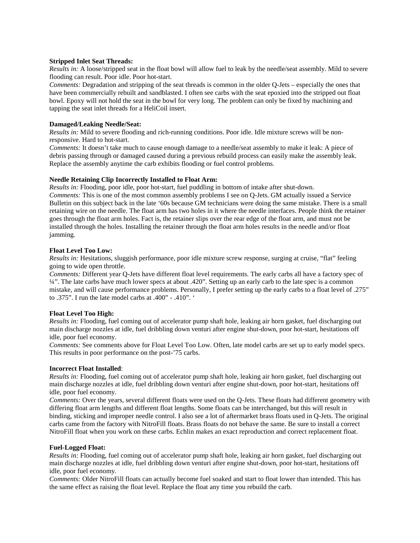# **Stripped Inlet Seat Threads:**

*Results in:* A loose/stripped seat in the float bowl will allow fuel to leak by the needle/seat assembly. Mild to severe flooding can result. Poor idle. Poor hot-start.

*Comments:* Degradation and stripping of the seat threads is common in the older Q-Jets – especially the ones that have been commercially rebuilt and sandblasted. I often see carbs with the seat epoxied into the stripped out float bowl. Epoxy will not hold the seat in the bowl for very long. The problem can only be fixed by machining and tapping the seat inlet threads for a HeliCoil insert.

# **Damaged/Leaking Needle/Seat:**

*Results in:* Mild to severe flooding and rich-running conditions. Poor idle. Idle mixture screws will be nonresponsive. Hard to hot-start.

*Comments:* It doesn't take much to cause enough damage to a needle/seat assembly to make it leak: A piece of debris passing through or damaged caused during a previous rebuild process can easily make the assembly leak. Replace the assembly anytime the carb exhibits flooding or fuel control problems.

# **Needle Retaining Clip Incorrectly Installed to Float Arm:**

*Results in:* Flooding, poor idle, poor hot-start, fuel puddling in bottom of intake after shut-down. *Comments:* This is one of the most common assembly problems I see on Q-Jets. GM actually issued a Service Bulletin on this subject back in the late '60s because GM technicians were doing the same mistake. There is a small retaining wire on the needle. The float arm has two holes in it where the needle interfaces. People think the retainer goes through the float arm holes. Fact is, the retainer slips over the rear edge of the float arm, and must not be installed through the holes. Installing the retainer through the float arm holes results in the needle and/or float jamming.

# **Float Level Too Low:**

*Results in:* Hesitations, sluggish performance, poor idle mixture screw response, surging at cruise, "flat" feeling going to wide open throttle.

*Comments:* Different year Q-Jets have different float level requirements. The early carbs all have a factory spec of ¼". The late carbs have much lower specs at about .420". Setting up an early carb to the late spec is a common mistake, and will cause performance problems. Personally, I prefer setting up the early carbs to a float level of .275" to .375". I run the late model carbs at .400" - .410". '

# **Float Level Too High:**

*Results in:* Flooding, fuel coming out of accelerator pump shaft hole, leaking air horn gasket, fuel discharging out main discharge nozzles at idle, fuel dribbling down venturi after engine shut-down, poor hot-start, hesitations off idle, poor fuel economy.

*Comments:* See comments above for Float Level Too Low. Often, late model carbs are set up to early model specs. This results in poor performance on the post-'75 carbs.

### **Incorrect Float Installed**:

*Results in:* Flooding, fuel coming out of accelerator pump shaft hole, leaking air horn gasket, fuel discharging out main discharge nozzles at idle, fuel dribbling down venturi after engine shut-down, poor hot-start, hesitations off idle, poor fuel economy.

*Comments:* Over the years, several different floats were used on the Q-Jets. These floats had different geometry with differing float arm lengths and different float lengths. Some floats can be interchanged, but this will result in binding, sticking and improper needle control. I also see a lot of aftermarket brass floats used in Q-Jets. The original carbs came from the factory with NitroFill floats. Brass floats do not behave the same. Be sure to install a correct NitroFill float when you work on these carbs. Echlin makes an exact reproduction and correct replacement float.

### **Fuel-Logged Float:**

*Results in:* Flooding, fuel coming out of accelerator pump shaft hole, leaking air horn gasket, fuel discharging out main discharge nozzles at idle, fuel dribbling down venturi after engine shut-down, poor hot-start, hesitations off idle, poor fuel economy.

*Comments:* Older NitroFill floats can actually become fuel soaked and start to float lower than intended. This has the same effect as raising the float level. Replace the float any time you rebuild the carb.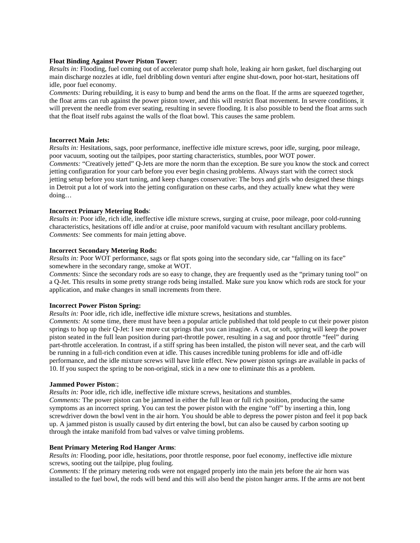### **Float Binding Against Power Piston Tower:**

*Results in:* Flooding, fuel coming out of accelerator pump shaft hole, leaking air horn gasket, fuel discharging out main discharge nozzles at idle, fuel dribbling down venturi after engine shut-down, poor hot-start, hesitations off idle, poor fuel economy.

*Comments:* During rebuilding, it is easy to bump and bend the arms on the float. If the arms are squeezed together, the float arms can rub against the power piston tower, and this will restrict float movement. In severe conditions, it will prevent the needle from ever seating, resulting in severe flooding. It is also possible to bend the float arms such that the float itself rubs against the walls of the float bowl. This causes the same problem.

# **Incorrect Main Jets:**

*Results in:* Hesitations, sags, poor performance, ineffective idle mixture screws, poor idle, surging, poor mileage, poor vacuum, sooting out the tailpipes, poor starting characteristics, stumbles, poor WOT power. *Comments:* "Creatively jetted" Q-Jets are more the norm than the exception. Be sure you know the stock and correct jetting configuration for your carb before you ever begin chasing problems. Always start with the correct stock jetting setup before you start tuning, and keep changes conservative: The boys and girls who designed these things in Detroit put a lot of work into the jetting configuration on these carbs, and they actually knew what they were doing…

# **Incorrect Primary Metering Rods**:

*Results in:* Poor idle, rich idle, ineffective idle mixture screws, surging at cruise, poor mileage, poor cold-running characteristics, hesitations off idle and/or at cruise, poor manifold vacuum with resultant ancillary problems. *Comments:* See comments for main jetting above.

#### **Incorrect Secondary Metering Rods:**

*Results in:* Poor WOT performance, sags or flat spots going into the secondary side, car "falling on its face" somewhere in the secondary range, smoke at WOT.

*Comments:* Since the secondary rods are so easy to change, they are frequently used as the "primary tuning tool" on a Q-Jet. This results in some pretty strange rods being installed. Make sure you know which rods are stock for your application, and make changes in small increments from there.

#### **Incorrect Power Piston Spring:**

*Results in:* Poor idle, rich idle, ineffective idle mixture screws, hesitations and stumbles.

*Comments:* At some time, there must have been a popular article published that told people to cut their power piston springs to hop up their Q-Jet: I see more cut springs that you can imagine. A cut, or soft, spring will keep the power piston seated in the full lean position during part-throttle power, resulting in a sag and poor throttle "feel" during part-throttle acceleration. In contrast, if a stiff spring has been installed, the piston will never seat, and the carb will be running in a full-rich condition even at idle. This causes incredible tuning problems for idle and off-idle performance, and the idle mixture screws will have little effect. New power piston springs are available in packs of 10. If you suspect the spring to be non-original, stick in a new one to eliminate this as a problem.

### **Jammed Power Piston**:;

*Results in:* Poor idle, rich idle, ineffective idle mixture screws, hesitations and stumbles.

*Comments:* The power piston can be jammed in either the full lean or full rich position, producing the same symptoms as an incorrect spring. You can test the power piston with the engine "off" by inserting a thin, long screwdriver down the bowl vent in the air horn. You should be able to depress the power piston and feel it pop back up. A jammed piston is usually caused by dirt entering the bowl, but can also be caused by carbon sooting up through the intake manifold from bad valves or valve timing problems.

#### **Bent Primary Metering Rod Hanger Arms**:

*Results in:* Flooding, poor idle, hesitations, poor throttle response, poor fuel economy, ineffective idle mixture screws, sooting out the tailpipe, plug fouling.

*Comments:* If the primary metering rods were not engaged properly into the main jets before the air horn was installed to the fuel bowl, the rods will bend and this will also bend the piston hanger arms. If the arms are not bent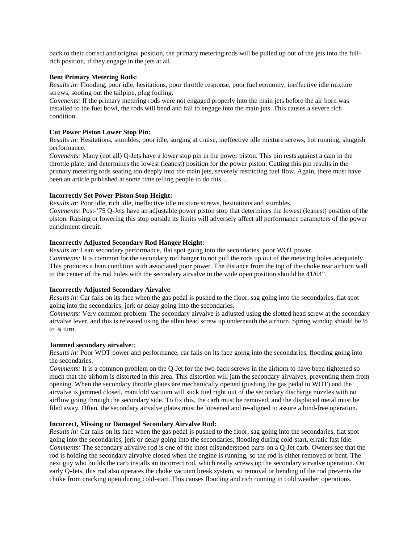back to their correct and original position, the primary metering rods will be pulled up out of the jets into the fullrich position, if they engage in the jets at all.

# **Bent Primary Metering Rods:**

*Results in:* Flooding, poor idle, hesitations, poor throttle response, poor fuel economy, ineffective idle mixture screws, sooting out the tailpipe, plug fouling.

*Comments:* If the primary metering rods were not engaged properly into the main jets before the air horn was installed to the fuel bowl, the rods will bend and fail to engage into the main jets. This causes a severe rich condition.

# **Cut Power Piston Lower Stop Pin:**

*Results in:* Hesitations, stumbles, poor idle, surging at cruise, ineffective idle mixture screws, hot running, sluggish performance.

*Comments:* Many (not all) Q-Jets have a lower stop pin in the power piston. This pin rests against a cam in the throttle plate, and determines the lowest (leanest) position for the power piston. Cutting this pin results in the primary metering rods seating too deeply into the main jets, severely restricting fuel flow. Again, there must have been an article published at some time telling people to do this…

# **Incorrectly Set Power Piston Stop Height:**

*Results in:* Poor idle, rich idle, ineffective idle mixture screws, hesitations and stumbles.

*Comments:* Post-'75 Q-Jets have an adjustable power piston stop that determines the lowest (leanest) position of the piston. Raising or lowering this stop outside its limits will adversely affect all performance parameters of the power enrichment circuit.

# **Incorrectly Adjusted Secondary Rod Hanger Height**:

*Results in:* Lean secondary performance, flat spot going into the secondaries, poor WOT power.

*Comments:* It is common for the secondary rod hanger to not pull the rods up out of the metering holes adequately. This produces a lean condition with associated poor power. The distance from the top of the choke rear airhorn wall to the center of the rod holes with the secondary airvalve in the wide open position should be 41/64".

# **Incorrectly Adjusted Secondary Airvalve**:

*Results in:* Car falls on its face when the gas pedal is pushed to the floor, sag going into the secondaries, flat spot going into the secondaries, jerk or delay going into the secondaries.

*Comments:* Very common problem. The secondary airvalve is adjusted using the slotted head screw at the secondary airvalve lever, and this is released using the allen head screw up underneath the airhorn. Spring windup should be ½ to  $\frac{3}{4}$  turn.

### **Jammed secondary airvalve**:;

*Results in:* Poor WOT power and performance, car falls on its face going into the secondaries, flooding going into the secondaries.

*Comments:* It is a common problem on the Q-Jet for the two back screws in the airhorn to have been tightened so much that the airhorn is distorted in this area. This distortion will jam the secondary airvalves, preventing them from opening. When the secondary throttle plates are mechanically opened (pushing the gas pedal to WOT) and the airvalve is jammed closed, manifold vacuum will suck fuel right out of the secondary discharge nozzles with no airflow going through the secondary side. To fix this, the carb must be removed, and the displaced metal must be filed away. Often, the secondary airvalve plates must be loosened and re-aligned to assure a bind-free operation.

### **Incorrect, Missing or Damaged Secondary Airvalve Rod:**

*Results in:* Car falls on its face when the gas pedal is pushed to the floor, sag going into the secondaries, flat spot going into the secondaries, jerk or delay going into the secondaries, flooding during cold-start, erratic fast idle. *Comments:* The secondary airvalve rod is one of the most misunderstood parts on a Q-Jet carb. Owners see that the rod is holding the secondary airvalve closed when the engine is running, so the rod is either removed or bent. The next guy who builds the carb installs an incorrect rod, which really screws up the secondary airvalve operation. On early Q-Jets, this rod also operates the choke vacuum break system, so removal or bending of the rod prevents the choke from cracking open during cold-start. This causes flooding and rich running in cold weather operations.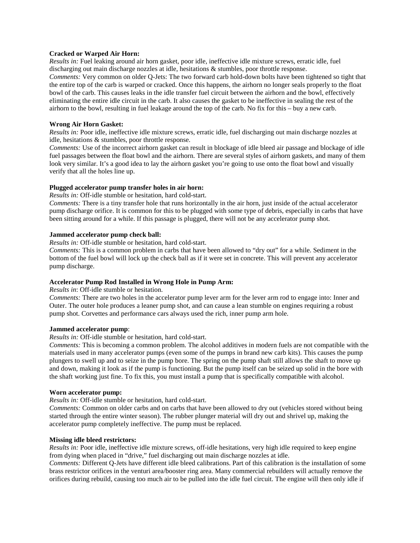## **Cracked or Warped Air Horn:**

*Results in:* Fuel leaking around air horn gasket, poor idle, ineffective idle mixture screws, erratic idle, fuel discharging out main discharge nozzles at idle, hesitations & stumbles, poor throttle response. *Comments:* Very common on older Q-Jets: The two forward carb hold-down bolts have been tightened so tight that the entire top of the carb is warped or cracked. Once this happens, the airhorn no longer seals properly to the float bowl of the carb. This causes leaks in the idle transfer fuel circuit between the airhorn and the bowl, effectively eliminating the entire idle circuit in the carb. It also causes the gasket to be ineffective in sealing the rest of the airhorn to the bowl, resulting in fuel leakage around the top of the carb. No fix for this – buy a new carb.

# **Wrong Air Horn Gasket:**

*Results in:* Poor idle, ineffective idle mixture screws, erratic idle, fuel discharging out main discharge nozzles at idle, hesitations & stumbles, poor throttle response.

*Comments:* Use of the incorrect airhorn gasket can result in blockage of idle bleed air passage and blockage of idle fuel passages between the float bowl and the airhorn. There are several styles of airhorn gaskets, and many of them look very similar. It's a good idea to lay the airhorn gasket you're going to use onto the float bowl and visually verify that all the holes line up.

### **Plugged accelerator pump transfer holes in air horn:**

*Results in:* Off-idle stumble or hesitation, hard cold-start.

*Comments:* There is a tiny transfer hole that runs horizontally in the air horn, just inside of the actual accelerator pump discharge orifice. It is common for this to be plugged with some type of debris, especially in carbs that have been sitting around for a while. If this passage is plugged, there will not be any accelerator pump shot.

### **Jammed accelerator pump check ball:**

*Results in:* Off-idle stumble or hesitation, hard cold-start.

*Comments:* This is a common problem in carbs that have been allowed to "dry out" for a while. Sediment in the bottom of the fuel bowl will lock up the check ball as if it were set in concrete. This will prevent any accelerator pump discharge.

# **Accelerator Pump Rod Installed in Wrong Hole in Pump Arm:**

*Results in*: Off-idle stumble or hesitation.

*Comments:* There are two holes in the accelerator pump lever arm for the lever arm rod to engage into: Inner and Outer. The outer hole produces a leaner pump shot, and can cause a lean stumble on engines requiring a robust pump shot. Corvettes and performance cars always used the rich, inner pump arm hole.

### **Jammed accelerator pump**:

*Results in:* Off-idle stumble or hesitation, hard cold-start.

*Comments:* This is becoming a common problem. The alcohol additives in modern fuels are not compatible with the materials used in many accelerator pumps (even some of the pumps in brand new carb kits). This causes the pump plungers to swell up and to seize in the pump bore. The spring on the pump shaft still allows the shaft to move up and down, making it look as if the pump is functioning. But the pump itself can be seized up solid in the bore with the shaft working just fine. To fix this, you must install a pump that is specifically compatible with alcohol.

### **Worn accelerator pump:**

*Results in:* Off-idle stumble or hesitation, hard cold-start.

*Comments:* Common on older carbs and on carbs that have been allowed to dry out (vehicles stored without being started through the entire winter season). The rubber plunger material will dry out and shrivel up, making the accelerator pump completely ineffective. The pump must be replaced.

### **Missing idle bleed restrictors:**

*Results in:* Poor idle, ineffective idle mixture screws, off-idle hesitations, very high idle required to keep engine from dying when placed in "drive," fuel discharging out main discharge nozzles at idle.

*Comments:* Different Q-Jets have different idle bleed calibrations. Part of this calibration is the installation of some brass restrictor orifices in the venturi area/booster ring area. Many commercial rebuilders will actually remove the orifices during rebuild, causing too much air to be pulled into the idle fuel circuit. The engine will then only idle if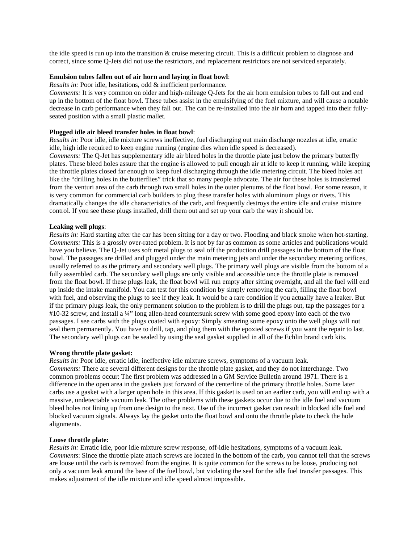the idle speed is run up into the transition & cruise metering circuit. This is a difficult problem to diagnose and correct, since some Q-Jets did not use the restrictors, and replacement restrictors are not serviced separately.

# **Emulsion tubes fallen out of air horn and laying in float bowl**:

*Results in:* Poor idle, hesitations, odd & inefficient performance.

*Comments:* It is very common on older and high-mileage Q-Jets for the air horn emulsion tubes to fall out and end up in the bottom of the float bowl. These tubes assist in the emulsifying of the fuel mixture, and will cause a notable decrease in carb performance when they fall out. The can be re-installed into the air horn and tapped into their fullyseated position with a small plastic mallet.

#### **Plugged idle air bleed transfer holes in float bowl**:

*Results in:* Poor idle, idle mixture screws ineffective, fuel discharging out main discharge nozzles at idle, erratic idle, high idle required to keep engine running (engine dies when idle speed is decreased). *Comments:* The Q-Jet has supplementary idle air bleed holes in the throttle plate just below the primary butterfly plates. These bleed holes assure that the engine is allowed to pull enough air at idle to keep it running, while keeping the throttle plates closed far enough to keep fuel discharging through the idle metering circuit. The bleed holes act like the "drilling holes in the butterflies" trick that so many people advocate. The air for these holes is transferred from the venturi area of the carb through two small holes in the outer plenums of the float bowl. For some reason, it is very common for commercial carb builders to plug these transfer holes with aluminum plugs or rivets. This dramatically changes the idle characteristics of the carb, and frequently destroys the entire idle and cruise mixture control. If you see these plugs installed, drill them out and set up your carb the way it should be.

# **Leaking well plugs**:

*Results in:* Hard starting after the car has been sitting for a day or two. Flooding and black smoke when hot-starting. *Comments:* This is a grossly over-rated problem. It is not by far as common as some articles and publications would have you believe. The Q-Jet uses soft metal plugs to seal off the production drill passages in the bottom of the float bowl. The passages are drilled and plugged under the main metering jets and under the secondary metering orifices, usually referred to as the primary and secondary well plugs. The primary well plugs are visible from the bottom of a fully assembled carb. The secondary well plugs are only visible and accessible once the throttle plate is removed from the float bowl. If these plugs leak, the float bowl will run empty after sitting overnight, and all the fuel will end up inside the intake manifold. You can test for this condition by simply removing the carb, filling the float bowl with fuel, and observing the plugs to see if they leak. It would be a rare condition if you actually have a leaker. But if the primary plugs leak, the only permanent solution to the problem is to drill the plugs out, tap the passages for a #10-32 screw, and install a ¼" long allen-head countersunk screw with some good epoxy into each of the two passages. I see carbs with the plugs coated with epoxy: Simply smearing some epoxy onto the well plugs will not seal them permanently. You have to drill, tap, and plug them with the epoxied screws if you want the repair to last. The secondary well plugs can be sealed by using the seal gasket supplied in all of the Echlin brand carb kits.

#### **Wrong throttle plate gasket:**

*Results in:* Poor idle, erratic idle, ineffective idle mixture screws, symptoms of a vacuum leak. *Comments:* There are several different designs for the throttle plate gasket, and they do not interchange. Two common problems occur: The first problem was addressed in a GM Service Bulletin around 1971. There is a difference in the open area in the gaskets just forward of the centerline of the primary throttle holes. Some later carbs use a gasket with a larger open hole in this area. If this gasket is used on an earlier carb, you will end up with a massive, undetectable vacuum leak. The other problems with these gaskets occur due to the idle fuel and vacuum bleed holes not lining up from one design to the next. Use of the incorrect gasket can result in blocked idle fuel and blocked vacuum signals. Always lay the gasket onto the float bowl and onto the throttle plate to check the hole alignments.

#### **Loose throttle plate:**

*Results in:* Erratic idle, poor idle mixture screw response, off-idle hesitations, symptoms of a vacuum leak. *Comments*: Since the throttle plate attach screws are located in the bottom of the carb, you cannot tell that the screws are loose until the carb is removed from the engine. It is quite common for the screws to be loose, producing not only a vacuum leak around the base of the fuel bowl, but violating the seal for the idle fuel transfer passages. This makes adjustment of the idle mixture and idle speed almost impossible.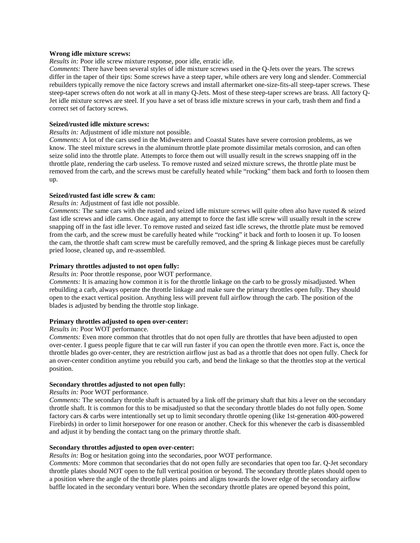# **Wrong idle mixture screws:**

*Results in:* Poor idle screw mixture response, poor idle, erratic idle.

*Comments:* There have been several styles of idle mixture screws used in the Q-Jets over the years. The screws differ in the taper of their tips: Some screws have a steep taper, while others are very long and slender. Commercial rebuilders typically remove the nice factory screws and install aftermarket one-size-fits-all steep-taper screws. These steep-taper screws often do not work at all in many Q-Jets. Most of these steep-taper screws are brass. All factory Q-Jet idle mixture screws are steel. If you have a set of brass idle mixture screws in your carb, trash them and find a correct set of factory screws.

# **Seized/rusted idle mixture screws:**

*Results in:* Adjustment of idle mixture not possible.

*Comments:* A lot of the cars used in the Midwestern and Coastal States have severe corrosion problems, as we know. The steel mixture screws in the aluminum throttle plate promote dissimilar metals corrosion, and can often seize solid into the throttle plate. Attempts to force them out will usually result in the screws snapping off in the throttle plate, rendering the carb useless. To remove rusted and seized mixture screws, the throttle plate must be removed from the carb, and the screws must be carefully heated while "rocking" them back and forth to loosen them up.

# **Seized/rusted fast idle screw & cam:**

# *Results in:* Adjustment of fast idle not possible.

*Comments:* The same cars with the rusted and seized idle mixture screws will quite often also have rusted & seized fast idle screws and idle cams. Once again, any attempt to force the fast idle screw will usually result in the screw snapping off in the fast idle lever. To remove rusted and seized fast idle screws, the throttle plate must be removed from the carb, and the screw must be carefully heated while "rocking" it back and forth to loosen it up. To loosen the cam, the throttle shaft cam screw must be carefully removed, and the spring  $\&$  linkage pieces must be carefully pried loose, cleaned up, and re-assembled.

# **Primary throttles adjusted to not open fully:**

### *Results in:* Poor throttle response, poor WOT performance.

*Comments:* It is amazing how common it is for the throttle linkage on the carb to be grossly misadjusted. When rebuilding a carb, always operate the throttle linkage and make sure the primary throttles open fully. They should open to the exact vertical position. Anything less will prevent full airflow through the carb. The position of the blades is adjusted by bending the throttle stop linkage.

### **Primary throttles adjusted to open over-center:**

### *Results in:* Poor WOT performance.

*Comments:* Even more common that throttles that do not open fully are throttles that have been adjusted to open over-center. I guess people figure that te car will run faster if you can open the throttle even more. Fact is, once the throttle blades go over-center, they are restriction airflow just as bad as a throttle that does not open fully. Check for an over-center condition anytime you rebuild you carb, and bend the linkage so that the throttles stop at the vertical position.

# **Secondary throttles adjusted to not open fully:**

# *Results in:* Poor WOT performance.

*Comments:* The secondary throttle shaft is actuated by a link off the primary shaft that hits a lever on the secondary throttle shaft. It is common for this to be misadjusted so that the secondary throttle blades do not fully open. Some factory cars & carbs were intentionally set up to limit secondary throttle opening (like 1st-generation 400-powered Firebirds) in order to limit horsepower for one reason or another. Check for this whenever the carb is disassembled and adjust it by bending the contact tang on the primary throttle shaft.

### **Secondary throttles adjusted to open over-center:**

*Results in:* Bog or hesitation going into the secondaries, poor WOT performance.

*Comments:* More common that secondaries that do not open fully are secondaries that open too far. O-Jet secondary throttle plates should NOT open to the full vertical position or beyond. The secondary throttle plates should open to a position where the angle of the throttle plates points and aligns towards the lower edge of the secondary airflow baffle located in the secondary venturi bore. When the secondary throttle plates are opened beyond this point,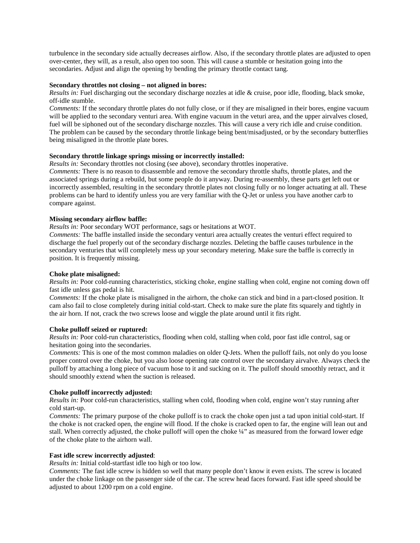turbulence in the secondary side actually decreases airflow. Also, if the secondary throttle plates are adjusted to open over-center, they will, as a result, also open too soon. This will cause a stumble or hesitation going into the secondaries. Adjust and align the opening by bending the primary throttle contact tang.

# **Secondary throttles not closing – not aligned in bores:**

*Results in:* Fuel discharging out the secondary discharge nozzles at idle & cruise, poor idle, flooding, black smoke, off-idle stumble.

*Comments:* If the secondary throttle plates do not fully close, or if they are misaligned in their bores, engine vacuum will be applied to the secondary venturi area. With engine vacuum in the veturi area, and the upper airvalves closed, fuel will be siphoned out of the secondary discharge nozzles. This will cause a very rich idle and cruise condition. The problem can be caused by the secondary throttle linkage being bent/misadjusted, or by the secondary butterflies being misaligned in the throttle plate bores.

# **Secondary throttle linkage springs missing or incorrectly installed:**

*Results in:* Secondary throttles not closing (see above), secondary throttles inoperative.

*Comments:* There is no reason to disassemble and remove the secondary throttle shafts, throttle plates, and the associated springs during a rebuild, but some people do it anyway. During re-assembly, these parts get left out or incorrectly assembled, resulting in the secondary throttle plates not closing fully or no longer actuating at all. These problems can be hard to identify unless you are very familiar with the Q-Jet or unless you have another carb to compare against.

# **Missing secondary airflow baffle:**

*Results in:* Poor secondary WOT performance, sags or hesitations at WOT.

*Comments:* The baffle installed inside the secondary venturi area actually creates the venturi effect required to discharge the fuel properly out of the secondary discharge nozzles. Deleting the baffle causes turbulence in the secondary venturies that will completely mess up your secondary metering. Make sure the baffle is correctly in position. It is frequently missing.

### **Choke plate misaligned:**

*Results in:* Poor cold-running characteristics, sticking choke, engine stalling when cold, engine not coming down off fast idle unless gas pedal is hit.

*Comments:* If the choke plate is misaligned in the airhorn, the choke can stick and bind in a part-closed position. It cam also fail to close completely during initial cold-start. Check to make sure the plate fits squarely and tightly in the air horn. If not, crack the two screws loose and wiggle the plate around until it fits right.

### **Choke pulloff seized or ruptured:**

*Results in:* Poor cold-run characteristics, flooding when cold, stalling when cold, poor fast idle control, sag or hesitation going into the secondaries.

*Comments:* This is one of the most common maladies on older Q-Jets. When the pulloff fails, not only do you loose proper control over the choke, but you also loose opening rate control over the secondary airvalve. Always check the pulloff by attaching a long piece of vacuum hose to it and sucking on it. The pulloff should smoothly retract, and it should smoothly extend when the suction is released.

### **Choke pulloff incorrectly adjusted:**

*Results in:* Poor cold-run characteristics, stalling when cold, flooding when cold, engine won't stay running after cold start-up.

*Comments:* The primary purpose of the choke pulloff is to crack the choke open just a tad upon initial cold-start. If the choke is not cracked open, the engine will flood. If the choke is cracked open to far, the engine will lean out and stall. When correctly adjusted, the choke pulloff will open the choke ¼" as measured from the forward lower edge of the choke plate to the airhorn wall.

### **Fast idle screw incorrectly adjusted**:

*Results in:* Initial cold-startfast idle too high or too low.

*Comments:* The fast idle screw is hidden so well that many people don't know it even exists. The screw is located under the choke linkage on the passenger side of the car. The screw head faces forward. Fast idle speed should be adjusted to about 1200 rpm on a cold engine.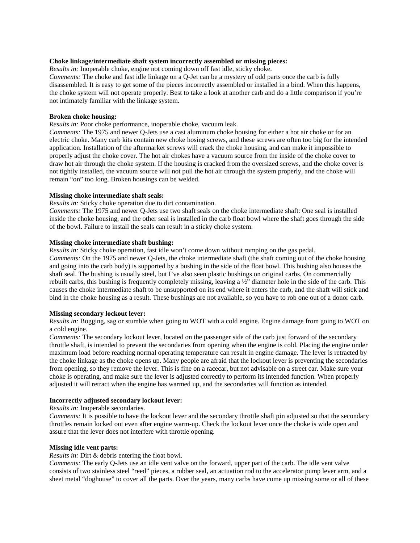### **Choke linkage/intermediate shaft system incorrectly assembled or missing pieces:**

*Results in:* Inoperable choke, engine not coming down off fast idle, sticky choke.

*Comments:* The choke and fast idle linkage on a Q-Jet can be a mystery of odd parts once the carb is fully disassembled. It is easy to get some of the pieces incorrectly assembled or installed in a bind. When this happens, the choke system will not operate properly. Best to take a look at another carb and do a little comparison if you're not intimately familiar with the linkage system.

# **Broken choke housing:**

*Results in:* Poor choke performance, inoperable choke, vacuum leak.

*Comments:* The 1975 and newer Q-Jets use a cast aluminum choke housing for either a hot air choke or for an electric choke. Many carb kits contain new choke hosing screws, and these screws are often too big for the intended application. Installation of the aftermarket screws will crack the choke housing, and can make it impossible to properly adjust the choke cover. The hot air chokes have a vacuum source from the inside of the choke cover to draw hot air through the choke system. If the housing is cracked from the oversized screws, and the choke cover is not tightly installed, the vacuum source will not pull the hot air through the system properly, and the choke will remain "on" too long. Broken housings can be welded.

# **Missing choke intermediate shaft seals:**

*Results in:* Sticky choke operation due to dirt contamination.

*Comments:* The 1975 and newer Q-Jets use two shaft seals on the choke intermediate shaft: One seal is installed inside the choke housing, and the other seal is installed in the carb float bowl where the shaft goes through the side of the bowl. Failure to install the seals can result in a sticky choke system.

# **Missing choke intermediate shaft bushing:**

*Results in:* Sticky choke operation, fast idle won't come down without romping on the gas pedal. *Comments:* On the 1975 and newer Q-Jets, the choke intermediate shaft (the shaft coming out of the choke housing and going into the carb body) is supported by a bushing in the side of the float bowl. This bushing also houses the shaft seal. The bushing is usually steel, but I've also seen plastic bushings on original carbs. On commercially rebuilt carbs, this bushing is frequently completely missing, leaving a ½" diameter hole in the side of the carb. This causes the choke intermediate shaft to be unsupported on its end where it enters the carb, and the shaft will stick and bind in the choke housing as a result. These bushings are not available, so you have to rob one out of a donor carb.

# **Missing secondary lockout lever:**

*Results in:* Bogging, sag or stumble when going to WOT with a cold engine. Engine damage from going to WOT on a cold engine.

*Comments:* The secondary lockout lever, located on the passenger side of the carb just forward of the secondary throttle shaft, is intended to prevent the secondaries from opening when the engine is cold. Placing the engine under maximum load before reaching normal operating temperature can result in engine damage. The lever is retracted by the choke linkage as the choke opens up. Many people are afraid that the lockout lever is preventing the secondaries from opening, so they remove the lever. This is fine on a racecar, but not advisable on a street car. Make sure your choke is operating, and make sure the lever is adjusted correctly to perform its intended function. When properly adjusted it will retract when the engine has warmed up, and the secondaries will function as intended.

# **Incorrectly adjusted secondary lockout lever:**

*Results in:* Inoperable secondaries.

*Comments:* It is possible to have the lockout lever and the secondary throttle shaft pin adjusted so that the secondary throttles remain locked out even after engine warm-up. Check the lockout lever once the choke is wide open and assure that the lever does not interfere with throttle opening.

### **Missing idle vent parts:**

*Results in:* Dirt & debris entering the float bowl.

*Comments:* The early Q-Jets use an idle vent valve on the forward, upper part of the carb. The idle vent valve consists of two stainless steel "reed" pieces, a rubber seal, an actuation rod to the accelerator pump lever arm, and a sheet metal "doghouse" to cover all the parts. Over the years, many carbs have come up missing some or all of these